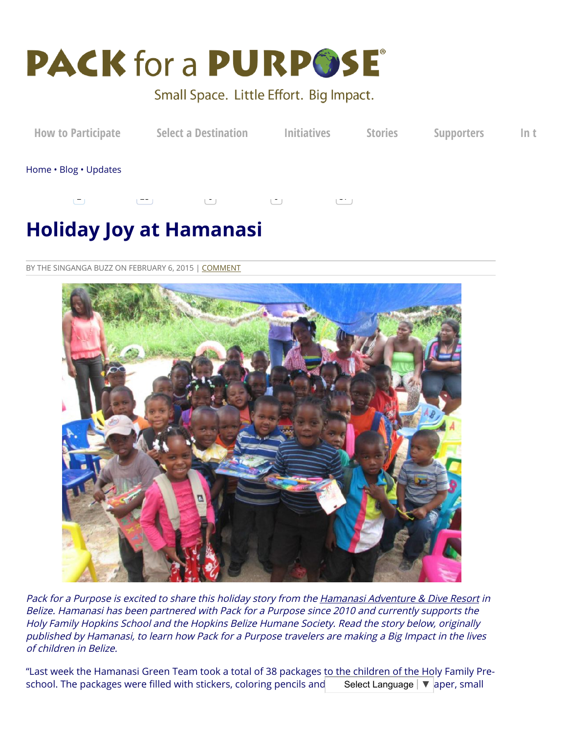

## Small Space. Little Effort. Big Impact.



# **Holiday Joy at Hamanasi**

BY THE SINGANGA BUZZ ON FEBRUARY 6, 2015 | [COMMENT](#page-1-0)



Pack for a Purpose is excited to share this holiday story from the Hamanasi [Adventure](http://www.packforapurpose.org/destinations/central-america/belize/hamanasi-adventure-dive-resort) & Dive Resort in Belize. Hamanasi has been partnered with Pack for <sup>a</sup> Purpose since 2010 and currently supports the Holy Family Hopkins School and the Hopkins Belize Humane Society. Read the story below, originally published by Hamanasi, to learn how Pack for <sup>a</sup> Purpose travelers are making <sup>a</sup> Big Impact in the lives of children in Belize.

"Last week the Hamanasi Green Team took a total of 38 packages to the children of the Holy Family Preschool. The packages were filled with stickers, coloring pencils and Select Language | ▼ aper, small